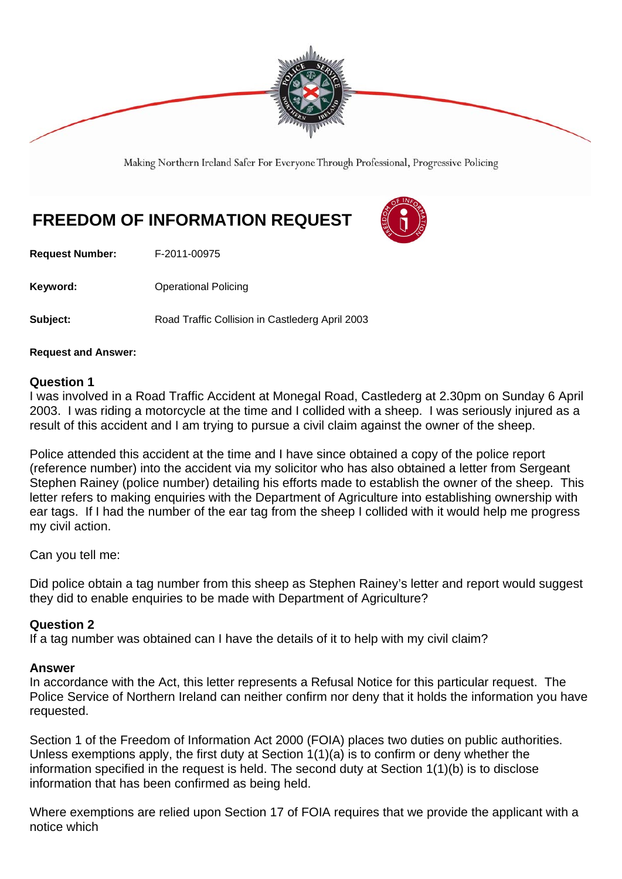

Making Northern Ireland Safer For Everyone Through Professional, Progressive Policing

# **FREEDOM OF INFORMATION REQUEST**



**Request Number:** F-2011-00975

**Keyword: Conservery Operational Policing** 

**Subject:** Road Traffic Collision in Castlederg April 2003

#### **Request and Answer:**

#### **Question 1**

I was involved in a Road Traffic Accident at Monegal Road, Castlederg at 2.30pm on Sunday 6 April 2003. I was riding a motorcycle at the time and I collided with a sheep. I was seriously injured as a result of this accident and I am trying to pursue a civil claim against the owner of the sheep.

Police attended this accident at the time and I have since obtained a copy of the police report (reference number) into the accident via my solicitor who has also obtained a letter from Sergeant Stephen Rainey (police number) detailing his efforts made to establish the owner of the sheep. This letter refers to making enquiries with the Department of Agriculture into establishing ownership with ear tags. If I had the number of the ear tag from the sheep I collided with it would help me progress my civil action.

Can you tell me:

Did police obtain a tag number from this sheep as Stephen Rainey's letter and report would suggest they did to enable enquiries to be made with Department of Agriculture?

#### **Question 2**

If a tag number was obtained can I have the details of it to help with my civil claim?

#### **Answer**

In accordance with the Act, this letter represents a Refusal Notice for this particular request. The Police Service of Northern Ireland can neither confirm nor deny that it holds the information you have requested.

Section 1 of the Freedom of Information Act 2000 (FOIA) places two duties on public authorities. Unless exemptions apply, the first duty at Section 1(1)(a) is to confirm or deny whether the information specified in the request is held. The second duty at Section 1(1)(b) is to disclose information that has been confirmed as being held.

Where exemptions are relied upon Section 17 of FOIA requires that we provide the applicant with a notice which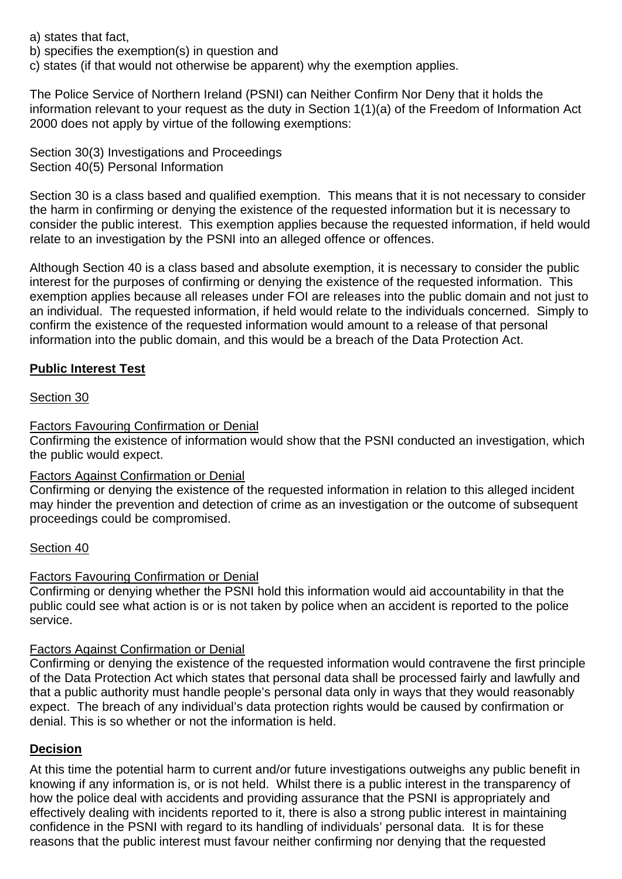a) states that fact,

b) specifies the exemption(s) in question and

c) states (if that would not otherwise be apparent) why the exemption applies.

The Police Service of Northern Ireland (PSNI) can Neither Confirm Nor Deny that it holds the information relevant to your request as the duty in Section 1(1)(a) of the Freedom of Information Act 2000 does not apply by virtue of the following exemptions:

Section 30(3) Investigations and Proceedings Section 40(5) Personal Information

Section 30 is a class based and qualified exemption. This means that it is not necessary to consider the harm in confirming or denying the existence of the requested information but it is necessary to consider the public interest. This exemption applies because the requested information, if held would relate to an investigation by the PSNI into an alleged offence or offences.

Although Section 40 is a class based and absolute exemption, it is necessary to consider the public interest for the purposes of confirming or denying the existence of the requested information. This exemption applies because all releases under FOI are releases into the public domain and not just to an individual. The requested information, if held would relate to the individuals concerned. Simply to confirm the existence of the requested information would amount to a release of that personal information into the public domain, and this would be a breach of the Data Protection Act.

# **Public Interest Test**

# Section 30

# Factors Favouring Confirmation or Denial

Confirming the existence of information would show that the PSNI conducted an investigation, which the public would expect.

# Factors Against Confirmation or Denial

Confirming or denying the existence of the requested information in relation to this alleged incident may hinder the prevention and detection of crime as an investigation or the outcome of subsequent proceedings could be compromised.

# Section 40

# Factors Favouring Confirmation or Denial

Confirming or denying whether the PSNI hold this information would aid accountability in that the public could see what action is or is not taken by police when an accident is reported to the police service.

# Factors Against Confirmation or Denial

Confirming or denying the existence of the requested information would contravene the first principle of the Data Protection Act which states that personal data shall be processed fairly and lawfully and that a public authority must handle people's personal data only in ways that they would reasonably expect. The breach of any individual's data protection rights would be caused by confirmation or denial. This is so whether or not the information is held.

# **Decision**

At this time the potential harm to current and/or future investigations outweighs any public benefit in knowing if any information is, or is not held. Whilst there is a public interest in the transparency of how the police deal with accidents and providing assurance that the PSNI is appropriately and effectively dealing with incidents reported to it, there is also a strong public interest in maintaining confidence in the PSNI with regard to its handling of individuals' personal data. It is for these reasons that the public interest must favour neither confirming nor denying that the requested